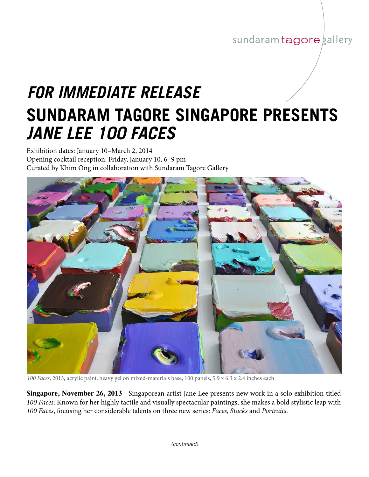## sundaram tagore gallery

## **Sundaram tagore singapore presents** *jane lee 100 faces FOR IMMEDIATE RELEASE*

Exhibition dates: January 10–March 2, 2014 Opening cocktail reception: Friday, January 10, 6–9 pm Curated by Khim Ong in collaboration with Sundaram Tagore Gallery



*100 Faces*, 2013, acrylic paint, heavy gel on mixed-materials base, 100 panels, 5.9 x 6.3 x 2.4 inches each

**Singapore, November 26, 2013—**Singaporean artist Jane Lee presents new work in a solo exhibition titled *100 Faces*. Known for her highly tactile and visually spectacular paintings, she makes a bold stylistic leap with *100 Faces*, focusing her considerable talents on three new series: *Faces*, *Stacks* and *Portraits*.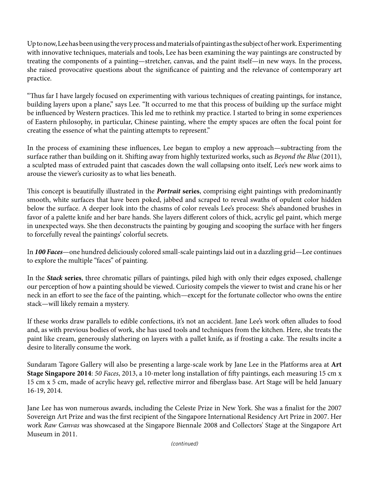Up to now, Lee has been using the very process and materials of painting as the subject of her work. Experimenting with innovative techniques, materials and tools, Lee has been examining the way paintings are constructed by treating the components of a painting—stretcher, canvas, and the paint itself—in new ways. In the process, she raised provocative questions about the significance of painting and the relevance of contemporary art practice.

"Thus far I have largely focused on experimenting with various techniques of creating paintings, for instance, building layers upon a plane," says Lee. "It occurred to me that this process of building up the surface might be influenced by Western practices. This led me to rethink my practice. I started to bring in some experiences of Eastern philosophy, in particular, Chinese painting, where the empty spaces are often the focal point for creating the essence of what the painting attempts to represent."

In the process of examining these influences, Lee began to employ a new approach—subtracting from the surface rather than building on it. Shifting away from highly texturized works, such as *Beyond the Blue* (2011), a sculpted mass of extruded paint that cascades down the wall collapsing onto itself, Lee's new work aims to arouse the viewer's curiosity as to what lies beneath.

This concept is beautifully illustrated in the *Portrait* **series**, comprising eight paintings with predominantly smooth, white surfaces that have been poked, jabbed and scraped to reveal swaths of opulent color hidden below the surface. A deeper look into the chasms of color reveals Lee's process: She's abandoned brushes in favor of a palette knife and her bare hands. She layers different colors of thick, acrylic gel paint, which merge in unexpected ways. She then deconstructs the painting by gouging and scooping the surface with her fingers to forcefully reveal the paintings' colorful secrets.

In *100 Faces*—one hundred deliciously colored small-scale paintings laid out in a dazzling grid—Lee continues to explore the multiple "faces" of painting.

In the *Stack* **series**, three chromatic pillars of paintings, piled high with only their edges exposed, challenge our perception of how a painting should be viewed. Curiosity compels the viewer to twist and crane his or her neck in an effort to see the face of the painting, which—except for the fortunate collector who owns the entire stack—will likely remain a mystery.

If these works draw parallels to edible confections, it's not an accident. Jane Lee's work often alludes to food and, as with previous bodies of work, she has used tools and techniques from the kitchen. Here, she treats the paint like cream, generously slathering on layers with a pallet knife, as if frosting a cake. The results incite a desire to literally consume the work.

Sundaram Tagore Gallery will also be presenting a large-scale work by Jane Lee in the Platforms area at **Art Stage Singapore 2014**: *50 Faces*, 2013, a 10-meter long installation of fifty paintings, each measuring 15 cm x 15 cm x 5 cm, made of acrylic heavy gel, reflective mirror and fiberglass base. Art Stage will be held January 16-19, 2014.

Jane Lee has won numerous awards, including the Celeste Prize in New York. She was a finalist for the 2007 Sovereign Art Prize and was the first recipient of the Singapore International Residency Art Prize in 2007. Her work *Raw Canvas* was showcased at the Singapore Biennale 2008 and Collectors' Stage at the Singapore Art Museum in 2011.